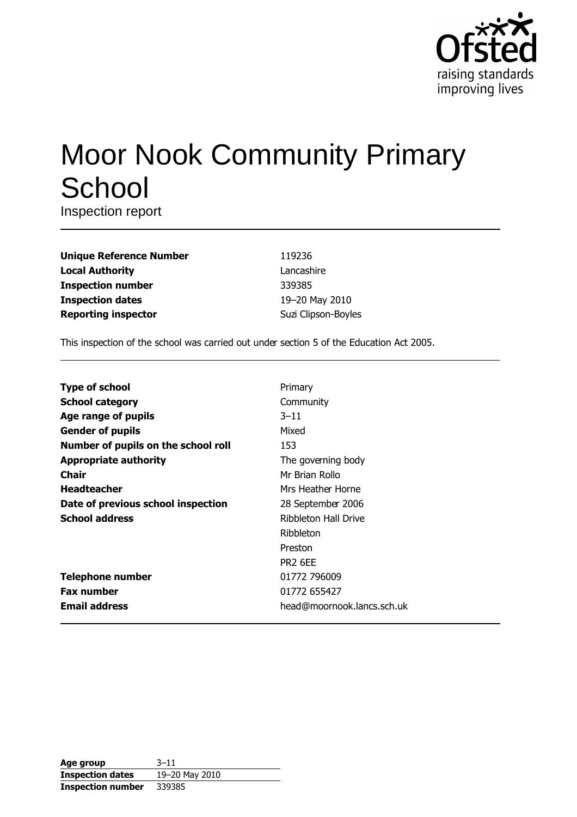

# Moor Nook Community Primary School

Inspection report

| <b>Unique Reference Number</b> |
|--------------------------------|
| <b>Local Authority</b>         |
| <b>Inspection number</b>       |
| <b>Inspection dates</b>        |
| <b>Reporting inspector</b>     |

119236 Lancashire 339385 19-20 May 2010 Suzi Clipson-Boyles

This inspection of the school was carried out under section 5 of the Education Act 2005.

| <b>Type of school</b>               | Primary                    |
|-------------------------------------|----------------------------|
| <b>School category</b>              | Community                  |
| Age range of pupils                 | $3 - 11$                   |
| <b>Gender of pupils</b>             | Mixed                      |
| Number of pupils on the school roll | 153                        |
| <b>Appropriate authority</b>        | The governing body         |
| Chair                               | Mr Brian Rollo             |
| <b>Headteacher</b>                  | Mrs Heather Horne          |
| Date of previous school inspection  | 28 September 2006          |
| <b>School address</b>               | Ribbleton Hall Drive       |
|                                     | Ribbleton                  |
|                                     | Preston                    |
|                                     | PR <sub>2</sub> 6EE        |
| <b>Telephone number</b>             | 01772 796009               |
| <b>Fax number</b>                   | 01772 655427               |
| <b>Email address</b>                | head@moornook.lancs.sch.uk |

| Age group                | $3 - 11$       |
|--------------------------|----------------|
| <b>Inspection dates</b>  | 19-20 May 2010 |
| <b>Inspection number</b> | 339385         |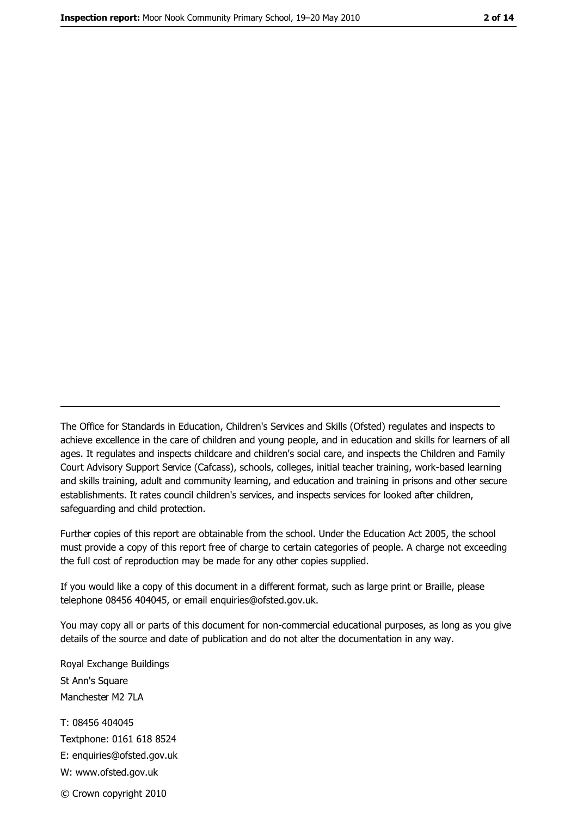The Office for Standards in Education, Children's Services and Skills (Ofsted) regulates and inspects to achieve excellence in the care of children and young people, and in education and skills for learners of all ages. It regulates and inspects childcare and children's social care, and inspects the Children and Family Court Advisory Support Service (Cafcass), schools, colleges, initial teacher training, work-based learning and skills training, adult and community learning, and education and training in prisons and other secure establishments. It rates council children's services, and inspects services for looked after children, safequarding and child protection.

Further copies of this report are obtainable from the school. Under the Education Act 2005, the school must provide a copy of this report free of charge to certain categories of people. A charge not exceeding the full cost of reproduction may be made for any other copies supplied.

If you would like a copy of this document in a different format, such as large print or Braille, please telephone 08456 404045, or email enquiries@ofsted.gov.uk.

You may copy all or parts of this document for non-commercial educational purposes, as long as you give details of the source and date of publication and do not alter the documentation in any way.

Royal Exchange Buildings St Ann's Square Manchester M2 7LA T: 08456 404045 Textphone: 0161 618 8524 E: enquiries@ofsted.gov.uk W: www.ofsted.gov.uk © Crown copyright 2010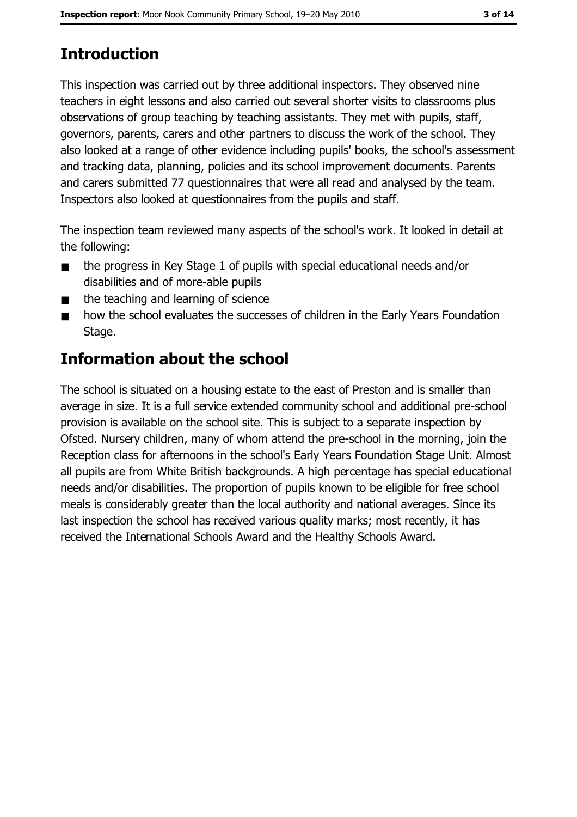# **Introduction**

This inspection was carried out by three additional inspectors. They observed nine teachers in eight lessons and also carried out several shorter visits to classrooms plus observations of group teaching by teaching assistants. They met with pupils, staff, governors, parents, carers and other partners to discuss the work of the school. They also looked at a range of other evidence including pupils' books, the school's assessment and tracking data, planning, policies and its school improvement documents. Parents and carers submitted 77 questionnaires that were all read and analysed by the team. Inspectors also looked at questionnaires from the pupils and staff.

The inspection team reviewed many aspects of the school's work. It looked in detail at the following:

- the progress in Key Stage 1 of pupils with special educational needs and/or  $\blacksquare$ disabilities and of more-able pupils
- the teaching and learning of science  $\blacksquare$
- how the school evaluates the successes of children in the Early Years Foundation  $\blacksquare$ Stage.

# Information about the school

The school is situated on a housing estate to the east of Preston and is smaller than average in size. It is a full service extended community school and additional pre-school provision is available on the school site. This is subject to a separate inspection by Ofsted. Nursery children, many of whom attend the pre-school in the morning, join the Reception class for afternoons in the school's Early Years Foundation Stage Unit. Almost all pupils are from White British backgrounds. A high percentage has special educational needs and/or disabilities. The proportion of pupils known to be eligible for free school meals is considerably greater than the local authority and national averages. Since its last inspection the school has received various quality marks; most recently, it has received the International Schools Award and the Healthy Schools Award.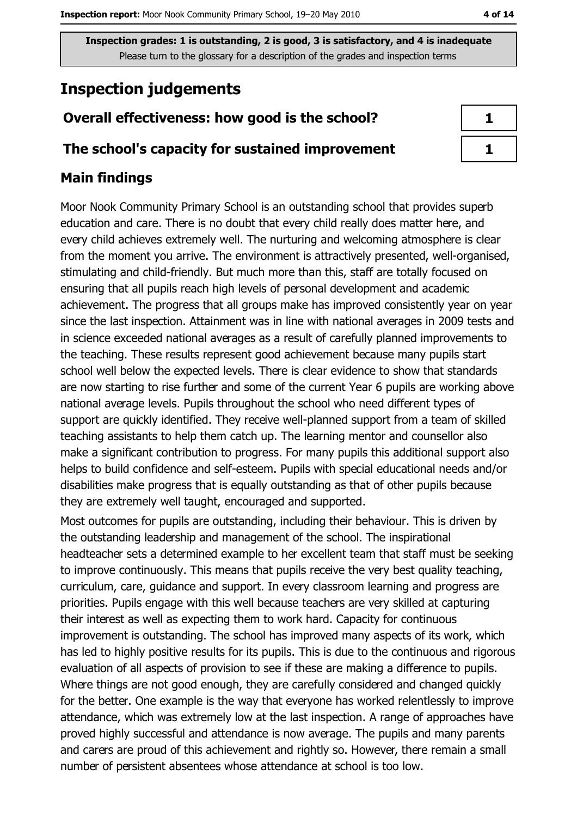# **Inspection judgements**

## Overall effectiveness: how good is the school?

#### The school's capacity for sustained improvement

## **Main findings**

Moor Nook Community Primary School is an outstanding school that provides superb education and care. There is no doubt that every child really does matter here, and every child achieves extremely well. The nurturing and welcoming atmosphere is clear from the moment you arrive. The environment is attractively presented, well-organised, stimulating and child-friendly. But much more than this, staff are totally focused on ensuring that all pupils reach high levels of personal development and academic achievement. The progress that all groups make has improved consistently year on year since the last inspection. Attainment was in line with national averages in 2009 tests and in science exceeded national averages as a result of carefully planned improvements to the teaching. These results represent good achievement because many pupils start school well below the expected levels. There is clear evidence to show that standards are now starting to rise further and some of the current Year 6 pupils are working above national average levels. Pupils throughout the school who need different types of support are quickly identified. They receive well-planned support from a team of skilled teaching assistants to help them catch up. The learning mentor and counsellor also make a significant contribution to progress. For many pupils this additional support also helps to build confidence and self-esteem. Pupils with special educational needs and/or disabilities make progress that is equally outstanding as that of other pupils because they are extremely well taught, encouraged and supported.

Most outcomes for pupils are outstanding, including their behaviour. This is driven by the outstanding leadership and management of the school. The inspirational headteacher sets a determined example to her excellent team that staff must be seeking to improve continuously. This means that pupils receive the very best quality teaching, curriculum, care, guidance and support. In every classroom learning and progress are priorities. Pupils engage with this well because teachers are very skilled at capturing their interest as well as expecting them to work hard. Capacity for continuous improvement is outstanding. The school has improved many aspects of its work, which has led to highly positive results for its pupils. This is due to the continuous and rigorous evaluation of all aspects of provision to see if these are making a difference to pupils. Where things are not good enough, they are carefully considered and changed quickly for the better. One example is the way that everyone has worked relentlessly to improve attendance, which was extremely low at the last inspection. A range of approaches have proved highly successful and attendance is now average. The pupils and many parents and carers are proud of this achievement and rightly so. However, there remain a small number of persistent absentees whose attendance at school is too low.

| п |  |
|---|--|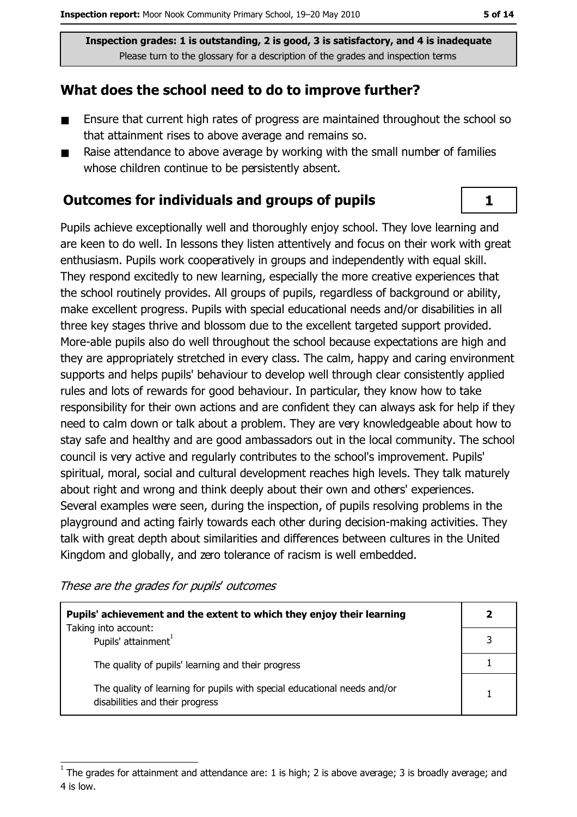## What does the school need to do to improve further?

- $\blacksquare$ Ensure that current high rates of progress are maintained throughout the school so that attainment rises to above average and remains so.
- Raise attendance to above average by working with the small number of families  $\blacksquare$ whose children continue to be persistently absent.

## **Outcomes for individuals and groups of pupils**

Pupils achieve exceptionally well and thoroughly enjoy school. They love learning and are keen to do well. In lessons they listen attentively and focus on their work with great enthusiasm. Pupils work cooperatively in groups and independently with equal skill. They respond excitedly to new learning, especially the more creative experiences that the school routinely provides. All groups of pupils, regardless of background or ability, make excellent progress. Pupils with special educational needs and/or disabilities in all three key stages thrive and blossom due to the excellent targeted support provided. More-able pupils also do well throughout the school because expectations are high and they are appropriately stretched in every class. The calm, happy and caring environment supports and helps pupils' behaviour to develop well through clear consistently applied rules and lots of rewards for good behaviour. In particular, they know how to take responsibility for their own actions and are confident they can always ask for help if they need to calm down or talk about a problem. They are very knowledgeable about how to stay safe and healthy and are good ambassadors out in the local community. The school council is very active and regularly contributes to the school's improvement. Pupils' spiritual, moral, social and cultural development reaches high levels. They talk maturely about right and wrong and think deeply about their own and others' experiences. Several examples were seen, during the inspection, of pupils resolving problems in the playground and acting fairly towards each other during decision-making activities. They talk with great depth about similarities and differences between cultures in the United Kingdom and globally, and zero tolerance of racism is well embedded.

These are the grades for pupils' outcomes

| Pupils' achievement and the extent to which they enjoy their learning                                       | 2 |
|-------------------------------------------------------------------------------------------------------------|---|
| Taking into account:<br>Pupils' attainment <sup>1</sup>                                                     |   |
| The quality of pupils' learning and their progress                                                          |   |
| The quality of learning for pupils with special educational needs and/or<br>disabilities and their progress |   |

 $\mathbf{1}$ 

The grades for attainment and attendance are: 1 is high; 2 is above average; 3 is broadly average; and 4 is low.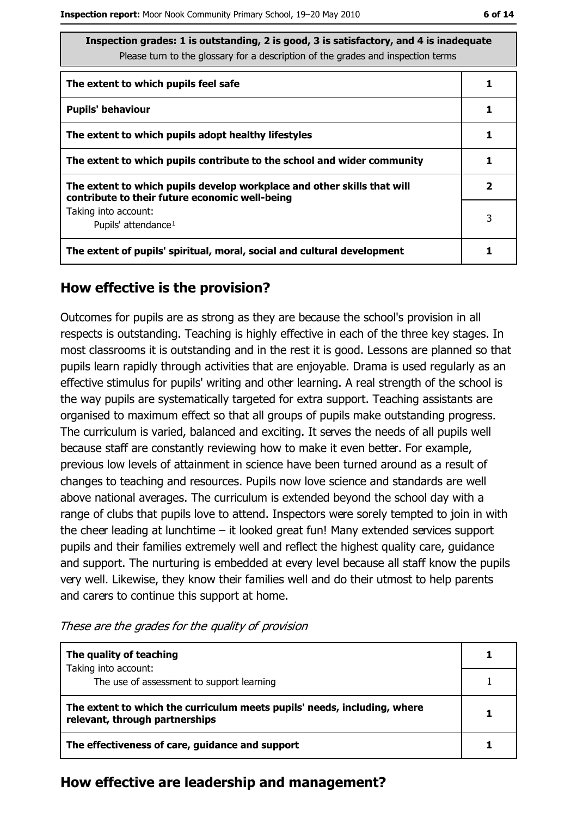| Inspection grades: 1 is outstanding, 2 is good, 3 is satisfactory, and 4 is inadequate<br>Please turn to the glossary for a description of the grades and inspection terms |   |  |  |
|----------------------------------------------------------------------------------------------------------------------------------------------------------------------------|---|--|--|
| The extent to which pupils feel safe                                                                                                                                       |   |  |  |
| <b>Pupils' behaviour</b>                                                                                                                                                   |   |  |  |
| The extent to which pupils adopt healthy lifestyles                                                                                                                        |   |  |  |
| The extent to which pupils contribute to the school and wider community                                                                                                    |   |  |  |
| The extent to which pupils develop workplace and other skills that will<br>contribute to their future economic well-being                                                  |   |  |  |
| Taking into account:<br>Pupils' attendance <sup>1</sup>                                                                                                                    | 3 |  |  |
| The extent of pupils' spiritual, moral, social and cultural development                                                                                                    |   |  |  |

#### How effective is the provision?

Outcomes for pupils are as strong as they are because the school's provision in all respects is outstanding. Teaching is highly effective in each of the three key stages. In most classrooms it is outstanding and in the rest it is good. Lessons are planned so that pupils learn rapidly through activities that are enjoyable. Drama is used regularly as an effective stimulus for pupils' writing and other learning. A real strength of the school is the way pupils are systematically targeted for extra support. Teaching assistants are organised to maximum effect so that all groups of pupils make outstanding progress. The curriculum is varied, balanced and exciting. It serves the needs of all pupils well because staff are constantly reviewing how to make it even better. For example, previous low levels of attainment in science have been turned around as a result of changes to teaching and resources. Pupils now love science and standards are well above national averages. The curriculum is extended beyond the school day with a range of clubs that pupils love to attend. Inspectors were sorely tempted to join in with the cheer leading at lunchtime - it looked great fun! Many extended services support pupils and their families extremely well and reflect the highest quality care, quidance and support. The nurturing is embedded at every level because all staff know the pupils very well. Likewise, they know their families well and do their utmost to help parents and carers to continue this support at home.

| The quality of teaching                                                                                    |  |
|------------------------------------------------------------------------------------------------------------|--|
| Taking into account:<br>The use of assessment to support learning                                          |  |
|                                                                                                            |  |
| The extent to which the curriculum meets pupils' needs, including, where<br>relevant, through partnerships |  |
| The effectiveness of care, guidance and support                                                            |  |

These are the grades for the quality of provision

#### How effective are leadership and management?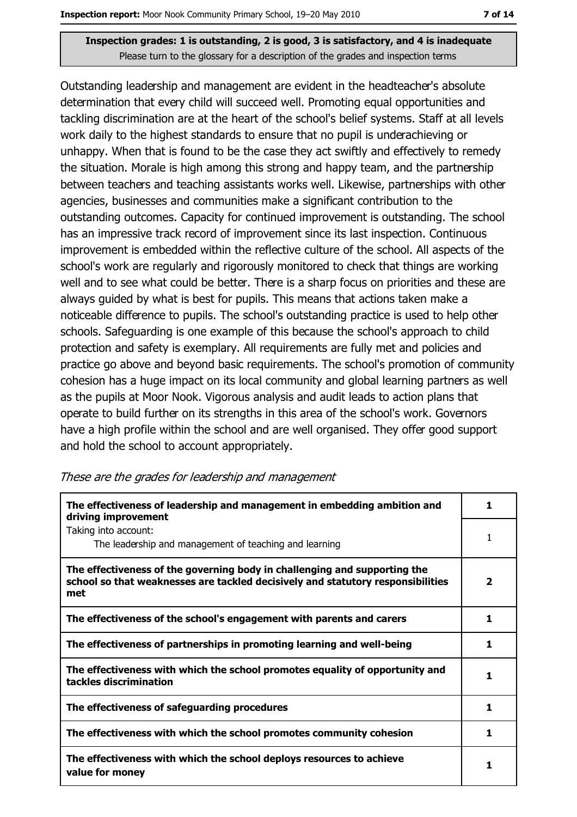Outstanding leadership and management are evident in the headteacher's absolute determination that every child will succeed well. Promoting equal opportunities and tackling discrimination are at the heart of the school's belief systems. Staff at all levels work daily to the highest standards to ensure that no pupil is underachieving or unhappy. When that is found to be the case they act swiftly and effectively to remedy the situation. Morale is high among this strong and happy team, and the partnership between teachers and teaching assistants works well. Likewise, partnerships with other agencies, businesses and communities make a significant contribution to the outstanding outcomes. Capacity for continued improvement is outstanding. The school has an impressive track record of improvement since its last inspection. Continuous improvement is embedded within the reflective culture of the school. All aspects of the school's work are regularly and rigorously monitored to check that things are working well and to see what could be better. There is a sharp focus on priorities and these are always quided by what is best for pupils. This means that actions taken make a noticeable difference to pupils. The school's outstanding practice is used to help other schools. Safeguarding is one example of this because the school's approach to child protection and safety is exemplary. All requirements are fully met and policies and practice go above and beyond basic requirements. The school's promotion of community cohesion has a huge impact on its local community and global learning partners as well as the pupils at Moor Nook. Vigorous analysis and audit leads to action plans that operate to build further on its strengths in this area of the school's work. Governors have a high profile within the school and are well organised. They offer good support and hold the school to account appropriately.

| The effectiveness of leadership and management in embedding ambition and<br>driving improvement                                                                     | 1                       |
|---------------------------------------------------------------------------------------------------------------------------------------------------------------------|-------------------------|
| Taking into account:<br>The leadership and management of teaching and learning                                                                                      |                         |
| The effectiveness of the governing body in challenging and supporting the<br>school so that weaknesses are tackled decisively and statutory responsibilities<br>met | $\overline{\mathbf{2}}$ |
| The effectiveness of the school's engagement with parents and carers                                                                                                | 1.                      |
| The effectiveness of partnerships in promoting learning and well-being                                                                                              | 1                       |
| The effectiveness with which the school promotes equality of opportunity and<br>tackles discrimination                                                              | 1                       |
| The effectiveness of safeguarding procedures                                                                                                                        | 1                       |
| The effectiveness with which the school promotes community cohesion                                                                                                 | 1.                      |
| The effectiveness with which the school deploys resources to achieve<br>value for money                                                                             | 1                       |

#### These are the grades for leadership and management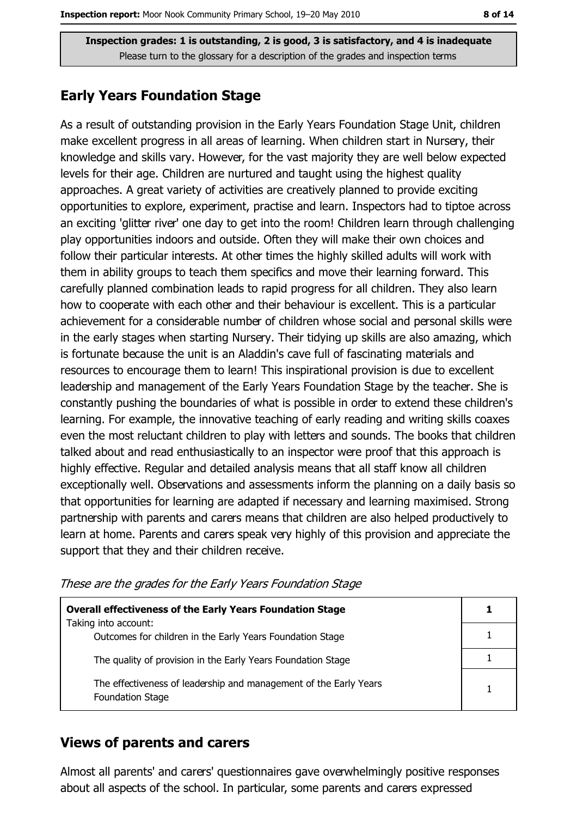## **Early Years Foundation Stage**

As a result of outstanding provision in the Early Years Foundation Stage Unit, children make excellent progress in all areas of learning. When children start in Nursery, their knowledge and skills vary. However, for the vast majority they are well below expected levels for their age. Children are nurtured and taught using the highest quality approaches. A great variety of activities are creatively planned to provide exciting opportunities to explore, experiment, practise and learn. Inspectors had to tiptoe across an exciting 'glitter river' one day to get into the room! Children learn through challenging play opportunities indoors and outside. Often they will make their own choices and follow their particular interests. At other times the highly skilled adults will work with them in ability groups to teach them specifics and move their learning forward. This carefully planned combination leads to rapid progress for all children. They also learn how to cooperate with each other and their behaviour is excellent. This is a particular achievement for a considerable number of children whose social and personal skills were in the early stages when starting Nursery. Their tidying up skills are also amazing, which is fortunate because the unit is an Aladdin's cave full of fascinating materials and resources to encourage them to learn! This inspirational provision is due to excellent leadership and management of the Early Years Foundation Stage by the teacher. She is constantly pushing the boundaries of what is possible in order to extend these children's learning. For example, the innovative teaching of early reading and writing skills coaxes even the most reluctant children to play with letters and sounds. The books that children talked about and read enthusiastically to an inspector were proof that this approach is highly effective. Regular and detailed analysis means that all staff know all children exceptionally well. Observations and assessments inform the planning on a daily basis so that opportunities for learning are adapted if necessary and learning maximised. Strong partnership with parents and carers means that children are also helped productively to learn at home. Parents and carers speak very highly of this provision and appreciate the support that they and their children receive.

These are the grades for the Early Years Foundation Stage

| <b>Overall effectiveness of the Early Years Foundation Stage</b>                             |  |
|----------------------------------------------------------------------------------------------|--|
| Taking into account:                                                                         |  |
| Outcomes for children in the Early Years Foundation Stage                                    |  |
| The quality of provision in the Early Years Foundation Stage                                 |  |
|                                                                                              |  |
| The effectiveness of leadership and management of the Early Years<br><b>Foundation Stage</b> |  |

#### **Views of parents and carers**

Almost all parents' and carers' questionnaires gave overwhelmingly positive responses about all aspects of the school. In particular, some parents and carers expressed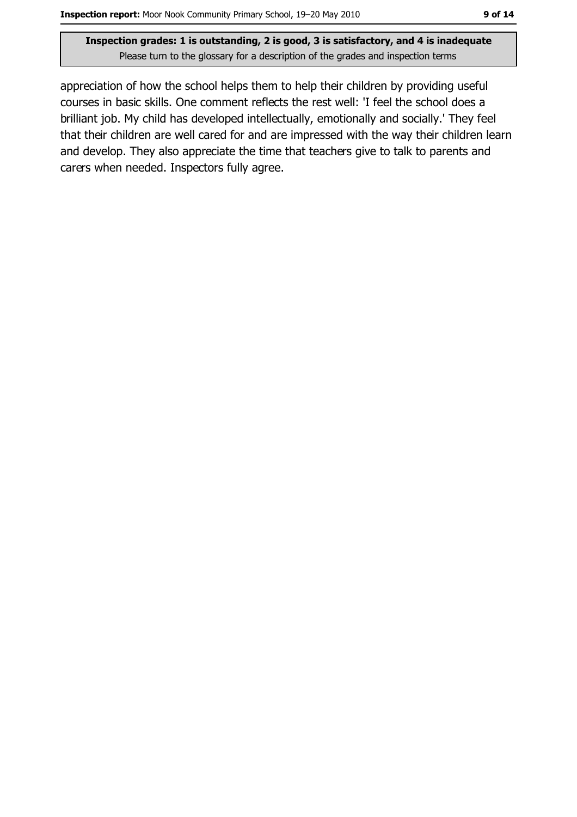appreciation of how the school helps them to help their children by providing useful courses in basic skills. One comment reflects the rest well: 'I feel the school does a brilliant job. My child has developed intellectually, emotionally and socially.' They feel that their children are well cared for and are impressed with the way their children learn and develop. They also appreciate the time that teachers give to talk to parents and carers when needed. Inspectors fully agree.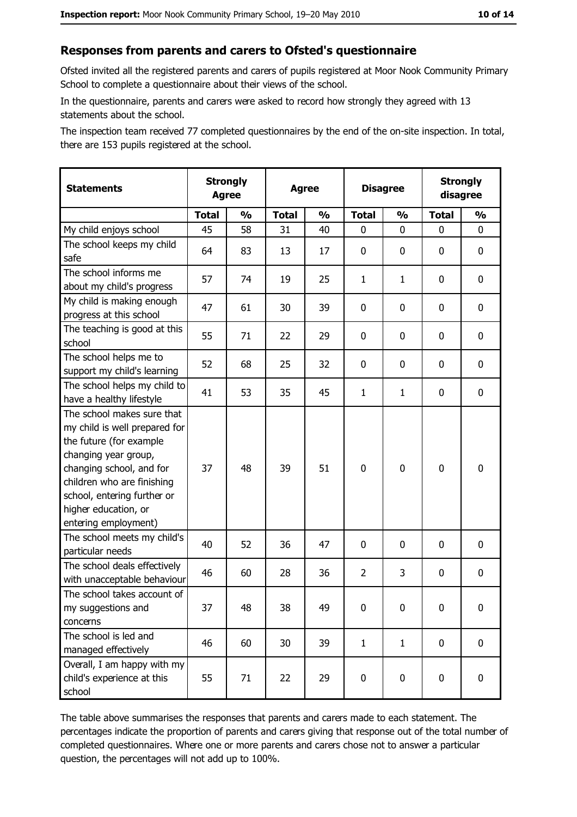#### Responses from parents and carers to Ofsted's questionnaire

Ofsted invited all the registered parents and carers of pupils registered at Moor Nook Community Primary School to complete a questionnaire about their views of the school.

In the questionnaire, parents and carers were asked to record how strongly they agreed with 13 statements about the school.

The inspection team received 77 completed questionnaires by the end of the on-site inspection. In total, there are 153 pupils registered at the school.

| <b>Statements</b>                                                                                                                                                                                                                                       | <b>Strongly</b><br><b>Agree</b> |               |              | <b>Agree</b>  |                | <b>Disagree</b> |              | <b>Strongly</b><br>disagree |
|---------------------------------------------------------------------------------------------------------------------------------------------------------------------------------------------------------------------------------------------------------|---------------------------------|---------------|--------------|---------------|----------------|-----------------|--------------|-----------------------------|
|                                                                                                                                                                                                                                                         | <b>Total</b>                    | $\frac{1}{2}$ | <b>Total</b> | $\frac{0}{0}$ | <b>Total</b>   | $\frac{1}{2}$   | <b>Total</b> | $\frac{1}{2}$               |
| My child enjoys school                                                                                                                                                                                                                                  | 45                              | 58            | 31           | 40            | 0              | 0               | 0            | 0                           |
| The school keeps my child<br>safe                                                                                                                                                                                                                       | 64                              | 83            | 13           | 17            | $\mathbf 0$    | 0               | 0            | $\mathbf 0$                 |
| The school informs me<br>about my child's progress                                                                                                                                                                                                      | 57                              | 74            | 19           | 25            | $\mathbf{1}$   | $\mathbf{1}$    | 0            | 0                           |
| My child is making enough<br>progress at this school                                                                                                                                                                                                    | 47                              | 61            | 30           | 39            | $\mathbf 0$    | 0               | 0            | 0                           |
| The teaching is good at this<br>school                                                                                                                                                                                                                  | 55                              | 71            | 22           | 29            | 0              | 0               | 0            | 0                           |
| The school helps me to<br>support my child's learning                                                                                                                                                                                                   | 52                              | 68            | 25           | 32            | $\mathbf 0$    | 0               | 0            | 0                           |
| The school helps my child to<br>have a healthy lifestyle                                                                                                                                                                                                | 41                              | 53            | 35           | 45            | $\mathbf{1}$   | $\mathbf{1}$    | 0            | $\mathbf 0$                 |
| The school makes sure that<br>my child is well prepared for<br>the future (for example<br>changing year group,<br>changing school, and for<br>children who are finishing<br>school, entering further or<br>higher education, or<br>entering employment) | 37                              | 48            | 39           | 51            | $\mathbf 0$    | 0               | $\mathbf 0$  | $\mathbf 0$                 |
| The school meets my child's<br>particular needs                                                                                                                                                                                                         | 40                              | 52            | 36           | 47            | $\mathbf 0$    | 0               | 0            | 0                           |
| The school deals effectively<br>with unacceptable behaviour                                                                                                                                                                                             | 46                              | 60            | 28           | 36            | $\overline{2}$ | 3               | 0            | 0                           |
| The school takes account of<br>my suggestions and<br>concerns                                                                                                                                                                                           | 37                              | 48            | 38           | 49            | $\mathbf 0$    | 0               | 0            | $\bf{0}$                    |
| The school is led and<br>managed effectively                                                                                                                                                                                                            | 46                              | 60            | 30           | 39            | $\mathbf{1}$   | $\mathbf{1}$    | $\mathbf 0$  | $\mathbf 0$                 |
| Overall, I am happy with my<br>child's experience at this<br>school                                                                                                                                                                                     | 55                              | 71            | 22           | 29            | $\mathbf 0$    | 0               | 0            | $\mathbf 0$                 |

The table above summarises the responses that parents and carers made to each statement. The percentages indicate the proportion of parents and carers giving that response out of the total number of completed questionnaires. Where one or more parents and carers chose not to answer a particular question, the percentages will not add up to 100%.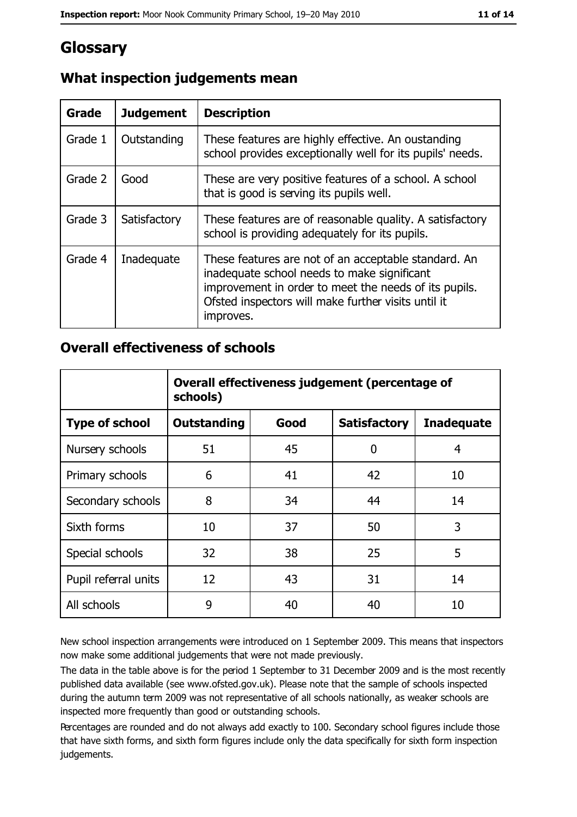# Glossary

| Grade   | <b>Judgement</b> | <b>Description</b>                                                                                                                                                                                                               |
|---------|------------------|----------------------------------------------------------------------------------------------------------------------------------------------------------------------------------------------------------------------------------|
| Grade 1 | Outstanding      | These features are highly effective. An oustanding<br>school provides exceptionally well for its pupils' needs.                                                                                                                  |
| Grade 2 | Good             | These are very positive features of a school. A school<br>that is good is serving its pupils well.                                                                                                                               |
| Grade 3 | Satisfactory     | These features are of reasonable quality. A satisfactory<br>school is providing adequately for its pupils.                                                                                                                       |
| Grade 4 | Inadequate       | These features are not of an acceptable standard. An<br>inadequate school needs to make significant<br>improvement in order to meet the needs of its pupils.<br>Ofsted inspectors will make further visits until it<br>improves. |

# What inspection judgements mean

## **Overall effectiveness of schools**

|                       | Overall effectiveness judgement (percentage of<br>schools) |      |                     |                   |  |
|-----------------------|------------------------------------------------------------|------|---------------------|-------------------|--|
| <b>Type of school</b> | <b>Outstanding</b>                                         | Good | <b>Satisfactory</b> | <b>Inadequate</b> |  |
| Nursery schools       | 51                                                         | 45   | 0                   | 4                 |  |
| Primary schools       | 6                                                          | 41   | 42                  | 10                |  |
| Secondary schools     | 8                                                          | 34   | 44                  | 14                |  |
| Sixth forms           | 10                                                         | 37   | 50                  | 3                 |  |
| Special schools       | 32                                                         | 38   | 25                  | 5                 |  |
| Pupil referral units  | 12                                                         | 43   | 31                  | 14                |  |
| All schools           | 9                                                          | 40   | 40                  | 10                |  |

New school inspection arrangements were introduced on 1 September 2009. This means that inspectors now make some additional judgements that were not made previously.

The data in the table above is for the period 1 September to 31 December 2009 and is the most recently published data available (see www.ofsted.gov.uk). Please note that the sample of schools inspected during the autumn term 2009 was not representative of all schools nationally, as weaker schools are inspected more frequently than good or outstanding schools.

Percentages are rounded and do not always add exactly to 100. Secondary school figures include those that have sixth forms, and sixth form figures include only the data specifically for sixth form inspection judgements.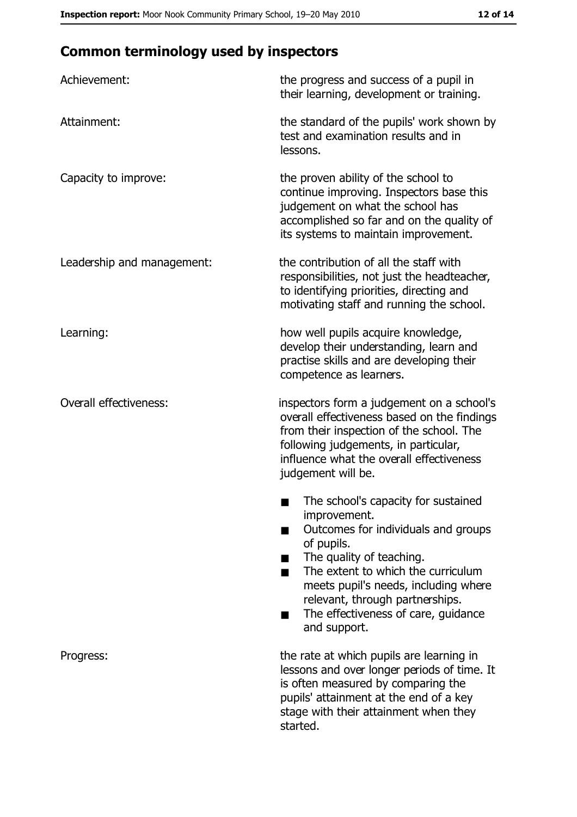# **Common terminology used by inspectors**

| Achievement:                  | the progress and success of a pupil in<br>their learning, development or training.                                                                                                                                                                                                                           |
|-------------------------------|--------------------------------------------------------------------------------------------------------------------------------------------------------------------------------------------------------------------------------------------------------------------------------------------------------------|
| Attainment:                   | the standard of the pupils' work shown by<br>test and examination results and in<br>lessons.                                                                                                                                                                                                                 |
| Capacity to improve:          | the proven ability of the school to<br>continue improving. Inspectors base this<br>judgement on what the school has<br>accomplished so far and on the quality of<br>its systems to maintain improvement.                                                                                                     |
| Leadership and management:    | the contribution of all the staff with<br>responsibilities, not just the headteacher,<br>to identifying priorities, directing and<br>motivating staff and running the school.                                                                                                                                |
| Learning:                     | how well pupils acquire knowledge,<br>develop their understanding, learn and<br>practise skills and are developing their<br>competence as learners.                                                                                                                                                          |
| <b>Overall effectiveness:</b> | inspectors form a judgement on a school's<br>overall effectiveness based on the findings<br>from their inspection of the school. The<br>following judgements, in particular,<br>influence what the overall effectiveness<br>judgement will be.                                                               |
|                               | The school's capacity for sustained<br>improvement.<br>Outcomes for individuals and groups<br>of pupils.<br>The quality of teaching.<br>The extent to which the curriculum<br>meets pupil's needs, including where<br>relevant, through partnerships.<br>The effectiveness of care, guidance<br>and support. |
| Progress:                     | the rate at which pupils are learning in<br>lessons and over longer periods of time. It<br>is often measured by comparing the<br>pupils' attainment at the end of a key<br>stage with their attainment when they<br>started.                                                                                 |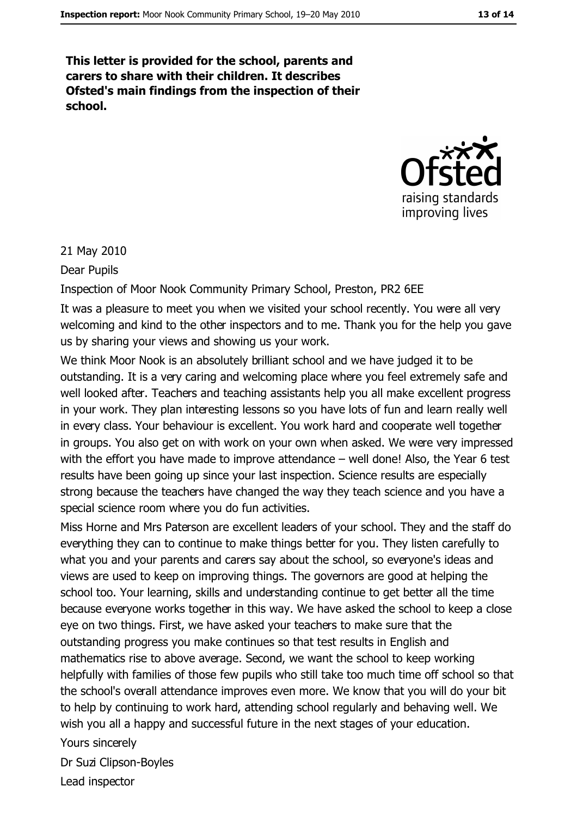This letter is provided for the school, parents and carers to share with their children. It describes Ofsted's main findings from the inspection of their school.



21 May 2010

Dear Pupils

Inspection of Moor Nook Community Primary School, Preston, PR2 6EE

It was a pleasure to meet you when we visited your school recently. You were all very welcoming and kind to the other inspectors and to me. Thank you for the help you gave us by sharing your views and showing us your work.

We think Moor Nook is an absolutely brilliant school and we have judged it to be outstanding. It is a very caring and welcoming place where you feel extremely safe and well looked after. Teachers and teaching assistants help you all make excellent progress in your work. They plan interesting lessons so you have lots of fun and learn really well in every class. Your behaviour is excellent. You work hard and cooperate well together in groups. You also get on with work on your own when asked. We were very impressed with the effort you have made to improve attendance - well done! Also, the Year 6 test results have been going up since your last inspection. Science results are especially strong because the teachers have changed the way they teach science and you have a special science room where you do fun activities.

Miss Horne and Mrs Paterson are excellent leaders of your school. They and the staff do everything they can to continue to make things better for you. They listen carefully to what you and your parents and carers say about the school, so everyone's ideas and views are used to keep on improving things. The governors are good at helping the school too. Your learning, skills and understanding continue to get better all the time because everyone works together in this way. We have asked the school to keep a close eye on two things. First, we have asked your teachers to make sure that the outstanding progress you make continues so that test results in English and mathematics rise to above average. Second, we want the school to keep working helpfully with families of those few pupils who still take too much time off school so that the school's overall attendance improves even more. We know that you will do your bit to help by continuing to work hard, attending school regularly and behaving well. We wish you all a happy and successful future in the next stages of your education.

Yours sincerely Dr Suzi Clipson-Boyles Lead inspector